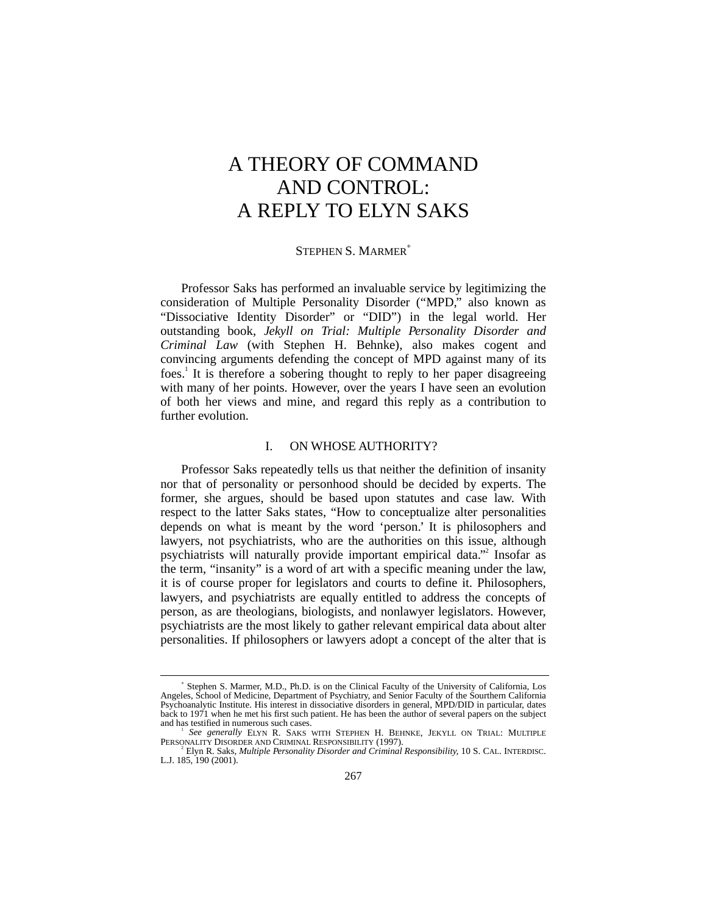# A THEORY OF COMMAND AND CONTROL: A REPLY TO ELYN SAKS

### STEPHEN S. MARMER<sup>\*</sup>

Professor Saks has performed an invaluable service by legitimizing the consideration of Multiple Personality Disorder ("MPD," also known as "Dissociative Identity Disorder" or "DID") in the legal world. Her outstanding book, *Jekyll on Trial: Multiple Personality Disorder and Criminal Law* (with Stephen H. Behnke), also makes cogent and convincing arguments defending the concept of MPD against many of its foes.<sup>1</sup> It is therefore a sobering thought to reply to her paper disagreeing with many of her points. However, over the years I have seen an evolution of both her views and mine, and regard this reply as a contribution to further evolution.

# I. ON WHOSE AUTHORITY?

Professor Saks repeatedly tells us that neither the definition of insanity nor that of personality or personhood should be decided by experts. The former, she argues, should be based upon statutes and case law. With respect to the latter Saks states, "How to conceptualize alter personalities depends on what is meant by the word 'person.' It is philosophers and lawyers, not psychiatrists, who are the authorities on this issue, although psychiatrists will naturally provide important empirical data."<sup>2</sup> Insofar as the term, "insanity" is a word of art with a specific meaning under the law, it is of course proper for legislators and courts to define it. Philosophers, lawyers, and psychiatrists are equally entitled to address the concepts of person, as are theologians, biologists, and nonlawyer legislators. However, psychiatrists are the most likely to gather relevant empirical data about alter personalities. If philosophers or lawyers adopt a concept of the alter that is

<sup>∗</sup> Stephen S. Marmer, M.D., Ph.D. is on the Clinical Faculty of the University of California, Los Angeles, School of Medicine, Department of Psychiatry, and Senior Faculty of the Sourthern California Psychoanalytic Institute. His interest in dissociative disorders in general, MPD/DID in particular, dates back to 1971 when he met his first such patient. He has been the author of several papers on the subject and has testified in numerous such cases.

*See generally* ELYN R. SAKS WITH STEPHEN H. BEHNKE, JEKYLL ON TRIAL: MULTIPLE PERSONALITY DISORDER AND CRIMINAL RESPONSIBILITY (1997).<br><sup>2</sup> Elyn R. Saks, *Multiple Personality Disorder and Criminal Responsibility,* 10 S. CAL. INTERDISC.

L.J. 185, 190 (2001).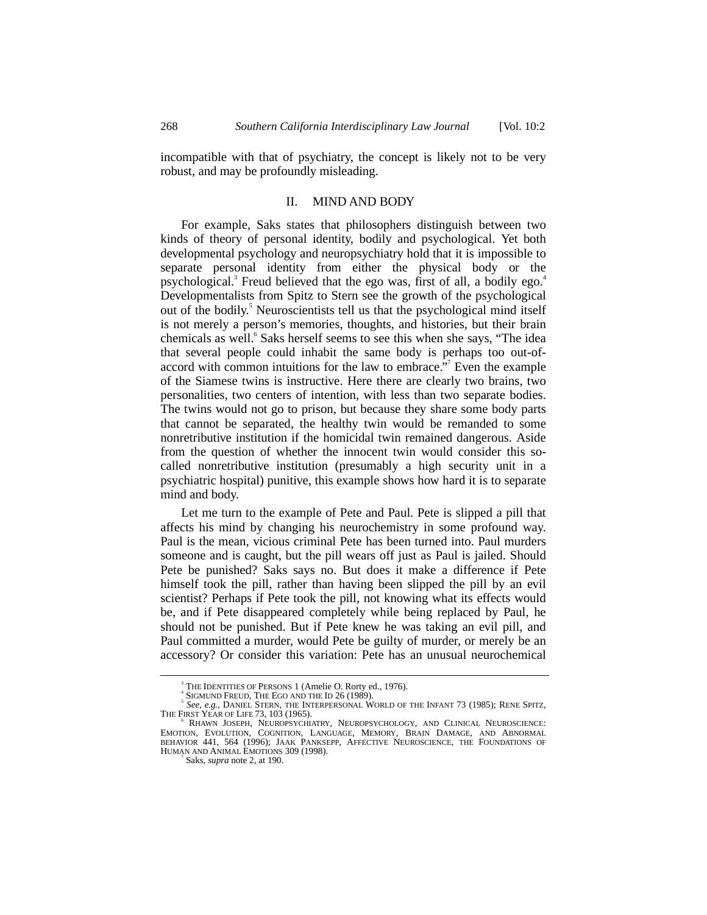incompatible with that of psychiatry, the concept is likely not to be very robust, and may be profoundly misleading.

#### II. MIND AND BODY

For example, Saks states that philosophers distinguish between two kinds of theory of personal identity, bodily and psychological. Yet both developmental psychology and neuropsychiatry hold that it is impossible to separate personal identity from either the physical body or the psychological.<sup>3</sup> Freud believed that the ego was, first of all, a bodily ego.<sup>4</sup> Developmentalists from Spitz to Stern see the growth of the psychological out of the bodily.<sup>5</sup> Neuroscientists tell us that the psychological mind itself is not merely a person's memories, thoughts, and histories, but their brain chemicals as well.<sup>6</sup> Saks herself seems to see this when she says, "The idea that several people could inhabit the same body is perhaps too out-ofaccord with common intuitions for the law to embrace." Even the example of the Siamese twins is instructive. Here there are clearly two brains, two personalities, two centers of intention, with less than two separate bodies. The twins would not go to prison, but because they share some body parts that cannot be separated, the healthy twin would be remanded to some nonretributive institution if the homicidal twin remained dangerous. Aside from the question of whether the innocent twin would consider this socalled nonretributive institution (presumably a high security unit in a psychiatric hospital) punitive, this example shows how hard it is to separate mind and body.

Let me turn to the example of Pete and Paul. Pete is slipped a pill that affects his mind by changing his neurochemistry in some profound way. Paul is the mean, vicious criminal Pete has been turned into. Paul murders someone and is caught, but the pill wears off just as Paul is jailed. Should Pete be punished? Saks says no. But does it make a difference if Pete himself took the pill, rather than having been slipped the pill by an evil scientist? Perhaps if Pete took the pill, not knowing what its effects would be, and if Pete disappeared completely while being replaced by Paul, he should not be punished. But if Pete knew he was taking an evil pill, and Paul committed a murder, would Pete be guilty of murder, or merely be an accessory? Or consider this variation: Pete has an unusual neurochemical

 $\frac{1}{3}$ THE IDENTITIES OF PERSONS 1 (Amelie O. Rorty ed., 1976).

SIGMUND FREUD, THE EGO AND THE ID 26 (1989).

*See, e.g.*, DANIEL STERN, THE INTERPERSONAL WORLD OF THE INFANT 73 (1985); RENE SPITZ, THE FIRST YEAR OF LIFE 73, 103 (1965).<br><sup>6</sup> RHAWN JOSEPH, NEUROPSYCHIATRY, NEUROPSYCHOLOGY, AND CLINICAL NEUROSCIENCE:

RHAWN JOSEPH, NEUROPSYCHIATRY, NEUROPSYCHOLOGY, AND CLINICAL NEUROSCIENCE: EMOTION, EVOLUTION, COGNITION, LANGUAGE, MEMORY, BRAIN DAMAGE, AND ABNORMAL BEHAVIOR 441, 564 (1996); JAAK PANKSEPP, AFFECTIVE NEUROSCIENCE, THE FOUNDATIONS OF HUMAN AND ANIMAL EMOTIONS 309 (1998).

Saks, *supra* note 2, at 190.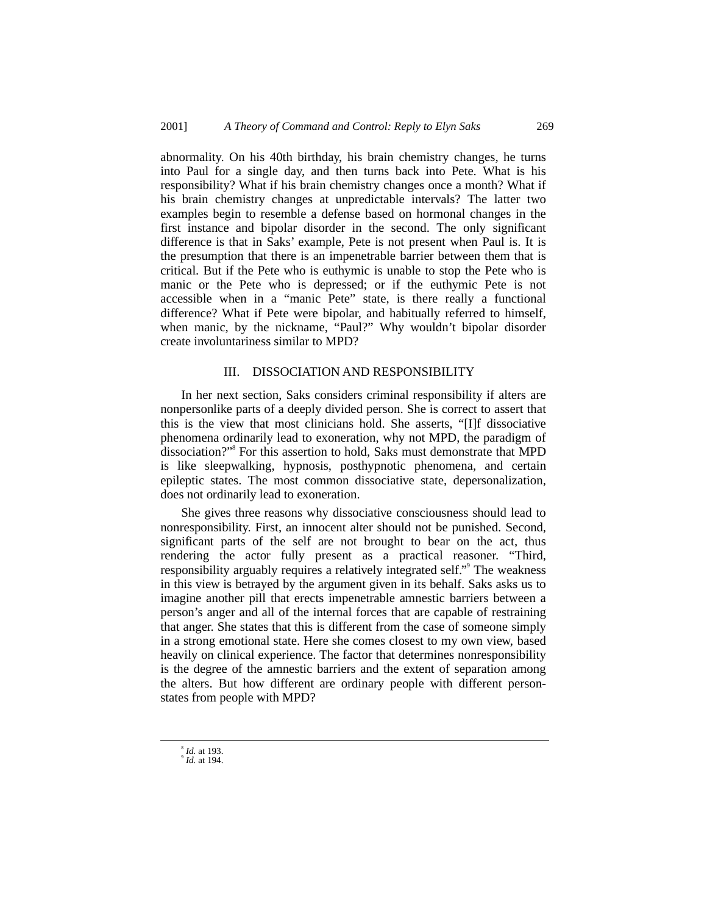abnormality. On his 40th birthday, his brain chemistry changes, he turns into Paul for a single day, and then turns back into Pete. What is his responsibility? What if his brain chemistry changes once a month? What if his brain chemistry changes at unpredictable intervals? The latter two examples begin to resemble a defense based on hormonal changes in the first instance and bipolar disorder in the second. The only significant difference is that in Saks' example, Pete is not present when Paul is. It is the presumption that there is an impenetrable barrier between them that is critical. But if the Pete who is euthymic is unable to stop the Pete who is manic or the Pete who is depressed; or if the euthymic Pete is not accessible when in a "manic Pete" state, is there really a functional difference? What if Pete were bipolar, and habitually referred to himself, when manic, by the nickname, "Paul?" Why wouldn't bipolar disorder create involuntariness similar to MPD?

#### III. DISSOCIATION AND RESPONSIBILITY

In her next section, Saks considers criminal responsibility if alters are nonpersonlike parts of a deeply divided person. She is correct to assert that this is the view that most clinicians hold. She asserts, "[I]f dissociative phenomena ordinarily lead to exoneration, why not MPD, the paradigm of dissociation?"<sup>8</sup> For this assertion to hold, Saks must demonstrate that MPD is like sleepwalking, hypnosis, posthypnotic phenomena, and certain epileptic states. The most common dissociative state, depersonalization, does not ordinarily lead to exoneration.

She gives three reasons why dissociative consciousness should lead to nonresponsibility. First, an innocent alter should not be punished. Second, significant parts of the self are not brought to bear on the act, thus rendering the actor fully present as a practical reasoner. "Third, responsibility arguably requires a relatively integrated self." The weakness in this view is betrayed by the argument given in its behalf. Saks asks us to imagine another pill that erects impenetrable amnestic barriers between a person's anger and all of the internal forces that are capable of restraining that anger. She states that this is different from the case of someone simply in a strong emotional state. Here she comes closest to my own view, based heavily on clinical experience. The factor that determines nonresponsibility is the degree of the amnestic barriers and the extent of separation among the alters. But how different are ordinary people with different personstates from people with MPD?

 $\overline{\phantom{a}}$ *Id.* at 193.

<sup>&</sup>lt;sup>9</sup> *Id.* at 194.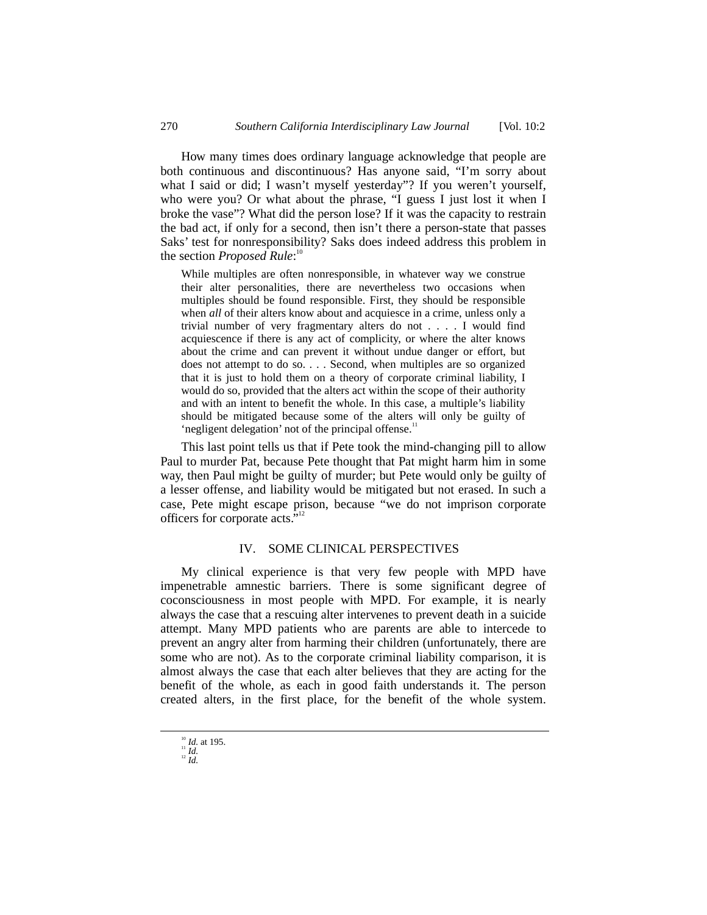How many times does ordinary language acknowledge that people are both continuous and discontinuous? Has anyone said, "I'm sorry about what I said or did; I wasn't myself yesterday"? If you weren't yourself, who were you? Or what about the phrase, "I guess I just lost it when I broke the vase"? What did the person lose? If it was the capacity to restrain the bad act, if only for a second, then isn't there a person-state that passes Saks' test for nonresponsibility? Saks does indeed address this problem in the section *Proposed Rule*:<sup>10</sup>

While multiples are often nonresponsible, in whatever way we construe their alter personalities, there are nevertheless two occasions when multiples should be found responsible. First, they should be responsible when *all* of their alters know about and acquiesce in a crime, unless only a trivial number of very fragmentary alters do not . . . . I would find acquiescence if there is any act of complicity, or where the alter knows about the crime and can prevent it without undue danger or effort, but does not attempt to do so. . . . Second, when multiples are so organized that it is just to hold them on a theory of corporate criminal liability, I would do so, provided that the alters act within the scope of their authority and with an intent to benefit the whole. In this case, a multiple's liability should be mitigated because some of the alters will only be guilty of 'negligent delegation' not of the principal offense.<sup>11</sup>

This last point tells us that if Pete took the mind-changing pill to allow Paul to murder Pat, because Pete thought that Pat might harm him in some way, then Paul might be guilty of murder; but Pete would only be guilty of a lesser offense, and liability would be mitigated but not erased. In such a case, Pete might escape prison, because "we do not imprison corporate officers for corporate acts." 12

## IV. SOME CLINICAL PERSPECTIVES

My clinical experience is that very few people with MPD have impenetrable amnestic barriers. There is some significant degree of coconsciousness in most people with MPD. For example, it is nearly always the case that a rescuing alter intervenes to prevent death in a suicide attempt. Many MPD patients who are parents are able to intercede to prevent an angry alter from harming their children (unfortunately, there are some who are not). As to the corporate criminal liability comparison, it is almost always the case that each alter believes that they are acting for the benefit of the whole, as each in good faith understands it. The person created alters, in the first place, for the benefit of the whole system.

<sup>&</sup>lt;sup>10</sup> *Id.* at 195.<br><sup>11</sup> *Id.* <sup>12</sup> *Id.*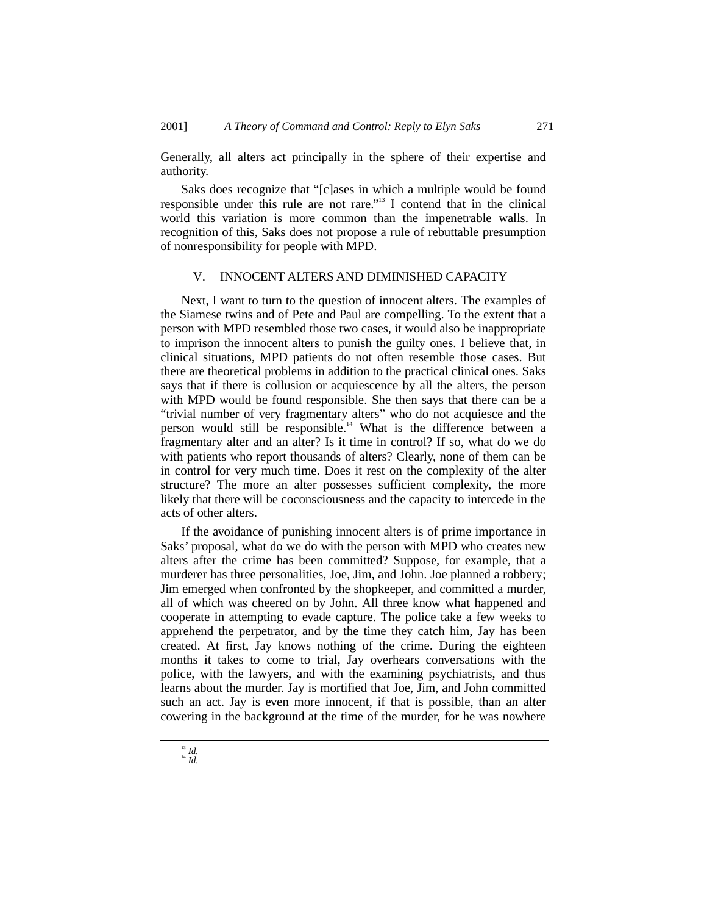Generally, all alters act principally in the sphere of their expertise and authority.

Saks does recognize that "[c]ases in which a multiple would be found responsible under this rule are not rare."<sup>13</sup> I contend that in the clinical world this variation is more common than the impenetrable walls. In recognition of this, Saks does not propose a rule of rebuttable presumption of nonresponsibility for people with MPD.

#### V. INNOCENT ALTERS AND DIMINISHED CAPACITY

Next, I want to turn to the question of innocent alters. The examples of the Siamese twins and of Pete and Paul are compelling. To the extent that a person with MPD resembled those two cases, it would also be inappropriate to imprison the innocent alters to punish the guilty ones. I believe that, in clinical situations, MPD patients do not often resemble those cases. But there are theoretical problems in addition to the practical clinical ones. Saks says that if there is collusion or acquiescence by all the alters, the person with MPD would be found responsible. She then says that there can be a "trivial number of very fragmentary alters" who do not acquiesce and the person would still be responsible.<sup>14</sup> What is the difference between a fragmentary alter and an alter? Is it time in control? If so, what do we do with patients who report thousands of alters? Clearly, none of them can be in control for very much time. Does it rest on the complexity of the alter structure? The more an alter possesses sufficient complexity, the more likely that there will be coconsciousness and the capacity to intercede in the acts of other alters.

If the avoidance of punishing innocent alters is of prime importance in Saks' proposal, what do we do with the person with MPD who creates new alters after the crime has been committed? Suppose, for example, that a murderer has three personalities, Joe, Jim, and John. Joe planned a robbery; Jim emerged when confronted by the shopkeeper, and committed a murder, all of which was cheered on by John. All three know what happened and cooperate in attempting to evade capture. The police take a few weeks to apprehend the perpetrator, and by the time they catch him, Jay has been created. At first, Jay knows nothing of the crime. During the eighteen months it takes to come to trial, Jay overhears conversations with the police, with the lawyers, and with the examining psychiatrists, and thus learns about the murder. Jay is mortified that Joe, Jim, and John committed such an act. Jay is even more innocent, if that is possible, than an alter cowering in the background at the time of the murder, for he was nowhere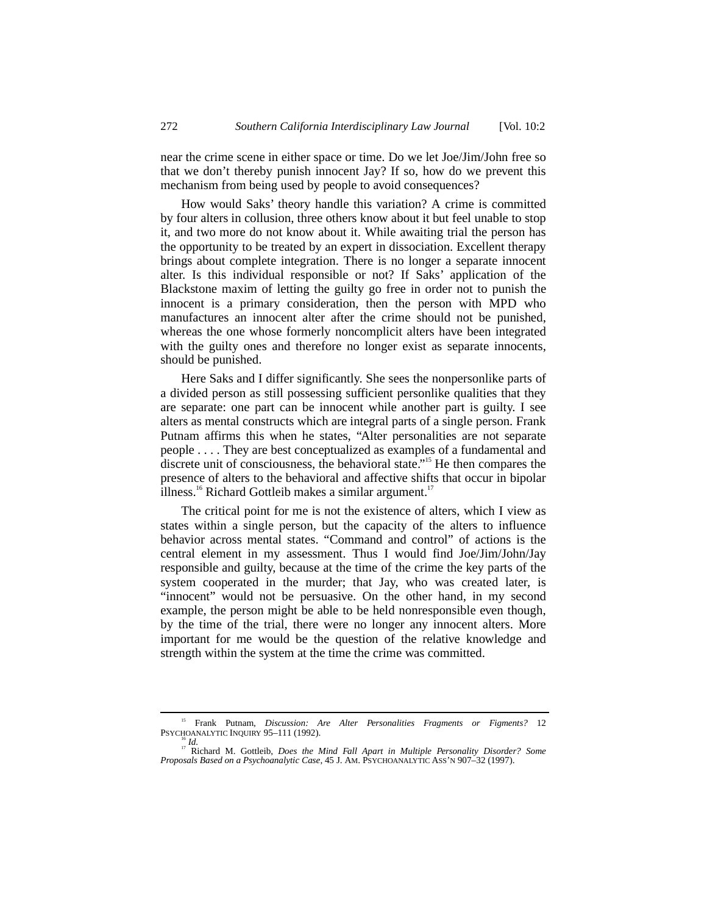near the crime scene in either space or time. Do we let Joe/Jim/John free so that we don't thereby punish innocent Jay? If so, how do we prevent this mechanism from being used by people to avoid consequences?

How would Saks' theory handle this variation? A crime is committed by four alters in collusion, three others know about it but feel unable to stop it, and two more do not know about it. While awaiting trial the person has the opportunity to be treated by an expert in dissociation. Excellent therapy brings about complete integration. There is no longer a separate innocent alter. Is this individual responsible or not? If Saks' application of the Blackstone maxim of letting the guilty go free in order not to punish the innocent is a primary consideration, then the person with MPD who manufactures an innocent alter after the crime should not be punished, whereas the one whose formerly noncomplicit alters have been integrated with the guilty ones and therefore no longer exist as separate innocents, should be punished.

Here Saks and I differ significantly. She sees the nonpersonlike parts of a divided person as still possessing sufficient personlike qualities that they are separate: one part can be innocent while another part is guilty. I see alters as mental constructs which are integral parts of a single person. Frank Putnam affirms this when he states, "Alter personalities are not separate people . . . . They are best conceptualized as examples of a fundamental and discrete unit of consciousness, the behavioral state."<sup>15</sup> He then compares the presence of alters to the behavioral and affective shifts that occur in bipolar illness.<sup>16</sup> Richard Gottleib makes a similar argument.<sup>17</sup>

The critical point for me is not the existence of alters, which I view as states within a single person, but the capacity of the alters to influence behavior across mental states. "Command and control" of actions is the central element in my assessment. Thus I would find Joe/Jim/John/Jay responsible and guilty, because at the time of the crime the key parts of the system cooperated in the murder; that Jay, who was created later, is "innocent" would not be persuasive. On the other hand, in my second example, the person might be able to be held nonresponsible even though, by the time of the trial, there were no longer any innocent alters. More important for me would be the question of the relative knowledge and strength within the system at the time the crime was committed.

<sup>&</sup>lt;sup>15</sup> Frank Putnam, *Discussion: Are Alter Personalities Fragments or Figments*? 12<br>PSYCHOANALYTIC INQUIRY 95–111 (1992).

<sup>&</sup>lt;sup>16</sup> Id.<br><sup>17</sup> Richard M. Gottleib, *Does the Mind Fall Apart in Multiple Personality Disorder? Some Proposals Based on a Psychoanalytic Case*, 45 J. AM. PSYCHOANALYTIC ASS'N 907–32 (1997).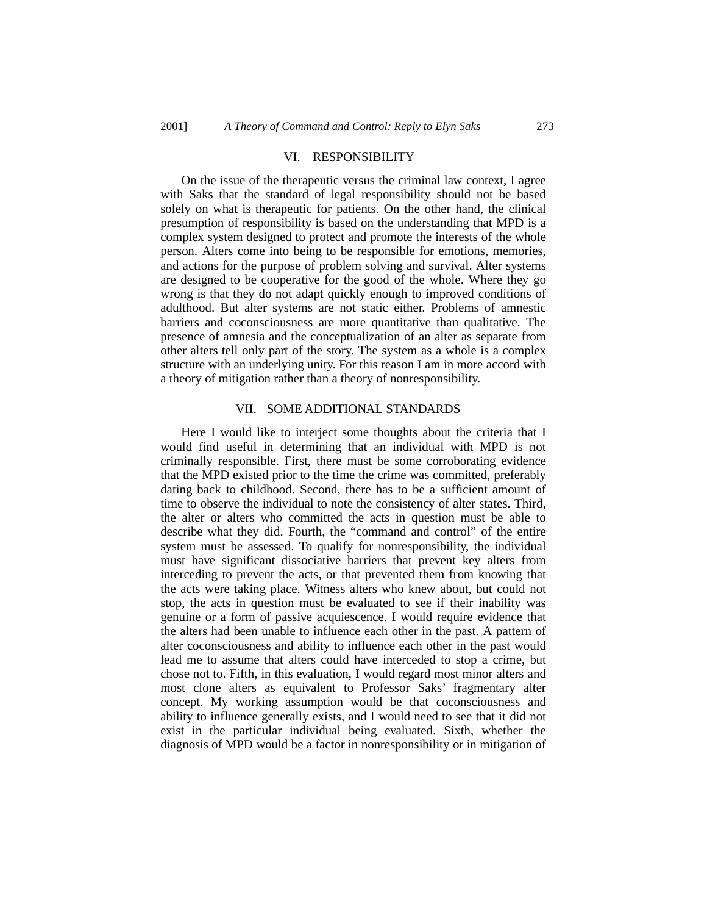#### VI. RESPONSIBILITY

On the issue of the therapeutic versus the criminal law context, I agree with Saks that the standard of legal responsibility should not be based solely on what is therapeutic for patients. On the other hand, the clinical presumption of responsibility is based on the understanding that MPD is a complex system designed to protect and promote the interests of the whole person. Alters come into being to be responsible for emotions, memories, and actions for the purpose of problem solving and survival. Alter systems are designed to be cooperative for the good of the whole. Where they go wrong is that they do not adapt quickly enough to improved conditions of adulthood. But alter systems are not static either. Problems of amnestic barriers and coconsciousness are more quantitative than qualitative. The presence of amnesia and the conceptualization of an alter as separate from other alters tell only part of the story. The system as a whole is a complex structure with an underlying unity. For this reason I am in more accord with a theory of mitigation rather than a theory of nonresponsibility.

### VII. SOME ADDITIONAL STANDARDS

Here I would like to interject some thoughts about the criteria that I would find useful in determining that an individual with MPD is not criminally responsible. First, there must be some corroborating evidence that the MPD existed prior to the time the crime was committed, preferably dating back to childhood. Second, there has to be a sufficient amount of time to observe the individual to note the consistency of alter states. Third, the alter or alters who committed the acts in question must be able to describe what they did. Fourth, the "command and control" of the entire system must be assessed. To qualify for nonresponsibility, the individual must have significant dissociative barriers that prevent key alters from interceding to prevent the acts, or that prevented them from knowing that the acts were taking place. Witness alters who knew about, but could not stop, the acts in question must be evaluated to see if their inability was genuine or a form of passive acquiescence. I would require evidence that the alters had been unable to influence each other in the past. A pattern of alter coconsciousness and ability to influence each other in the past would lead me to assume that alters could have interceded to stop a crime, but chose not to. Fifth, in this evaluation, I would regard most minor alters and most clone alters as equivalent to Professor Saks' fragmentary alter concept. My working assumption would be that coconsciousness and ability to influence generally exists, and I would need to see that it did not exist in the particular individual being evaluated. Sixth, whether the diagnosis of MPD would be a factor in nonresponsibility or in mitigation of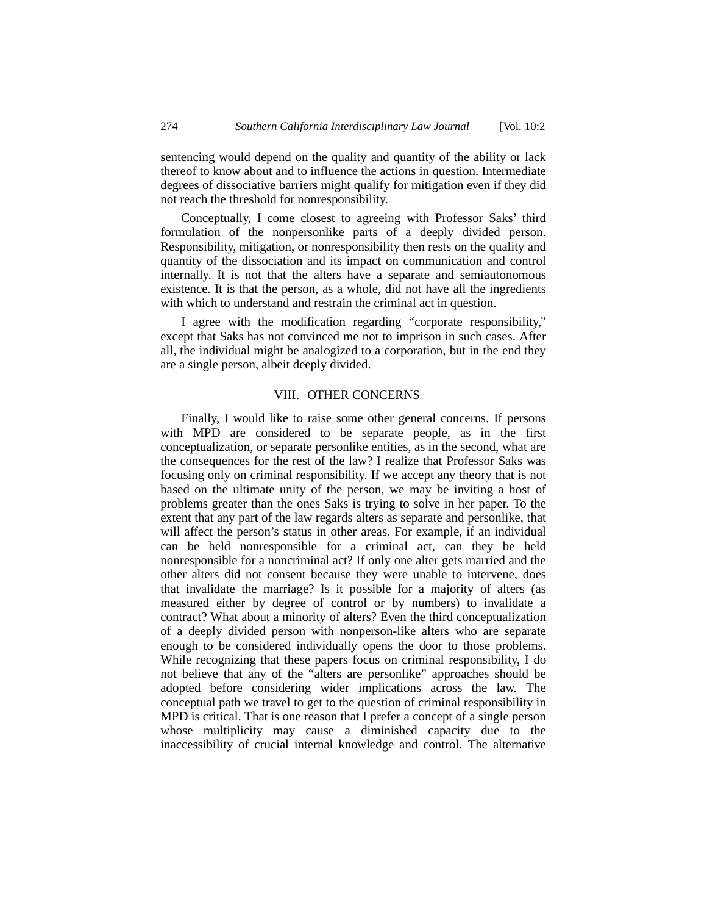sentencing would depend on the quality and quantity of the ability or lack thereof to know about and to influence the actions in question. Intermediate degrees of dissociative barriers might qualify for mitigation even if they did not reach the threshold for nonresponsibility.

Conceptually, I come closest to agreeing with Professor Saks' third formulation of the nonpersonlike parts of a deeply divided person. Responsibility, mitigation, or nonresponsibility then rests on the quality and quantity of the dissociation and its impact on communication and control internally. It is not that the alters have a separate and semiautonomous existence. It is that the person, as a whole, did not have all the ingredients with which to understand and restrain the criminal act in question.

I agree with the modification regarding "corporate responsibility," except that Saks has not convinced me not to imprison in such cases. After all, the individual might be analogized to a corporation, but in the end they are a single person, albeit deeply divided.

# VIII. OTHER CONCERNS

Finally, I would like to raise some other general concerns. If persons with MPD are considered to be separate people, as in the first conceptualization, or separate personlike entities, as in the second, what are the consequences for the rest of the law? I realize that Professor Saks was focusing only on criminal responsibility. If we accept any theory that is not based on the ultimate unity of the person, we may be inviting a host of problems greater than the ones Saks is trying to solve in her paper. To the extent that any part of the law regards alters as separate and personlike, that will affect the person's status in other areas. For example, if an individual can be held nonresponsible for a criminal act, can they be held nonresponsible for a noncriminal act? If only one alter gets married and the other alters did not consent because they were unable to intervene, does that invalidate the marriage? Is it possible for a majority of alters (as measured either by degree of control or by numbers) to invalidate a contract? What about a minority of alters? Even the third conceptualization of a deeply divided person with nonperson-like alters who are separate enough to be considered individually opens the door to those problems. While recognizing that these papers focus on criminal responsibility, I do not believe that any of the "alters are personlike" approaches should be adopted before considering wider implications across the law. The conceptual path we travel to get to the question of criminal responsibility in MPD is critical. That is one reason that I prefer a concept of a single person whose multiplicity may cause a diminished capacity due to the inaccessibility of crucial internal knowledge and control. The alternative